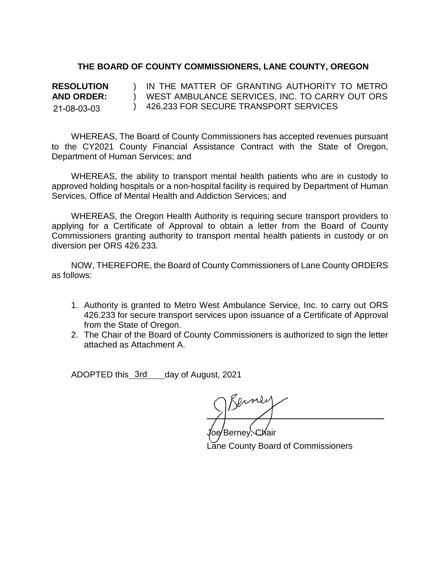## **THE BOARD OF COUNTY COMMISSIONERS, LANE COUNTY, OREGON**

**RESOLUTION AND ORDER:** ) ) WEST AMBULANCE SERVICES, INC. TO CARRY OUT ORS ) 426.233 FOR SECURE TRANSPORT SERVICES IN THE MATTER OF GRANTING AUTHORITY TO METRO 21-08-03-03

WHEREAS, The Board of County Commissioners has accepted revenues pursuant to the CY2021 County Financial Assistance Contract with the State of Oregon, Department of Human Services; and

WHEREAS, the ability to transport mental health patients who are in custody to approved holding hospitals or a non-hospital facility is required by Department of Human Services, Office of Mental Health and Addiction Services; and

WHEREAS, the Oregon Health Authority is requiring secure transport providers to applying for a Certificate of Approval to obtain a letter from the Board of County Commissioners granting authority to transport mental health patients in custody or on diversion per ORS 426.233.

NOW, THEREFORE, the Board of County Commissioners of Lane County ORDERS as follows:

- 1. Authority is granted to Metro West Ambulance Service, Inc. to carry out ORS 426.233 for secure transport services upon issuance of a Certificate of Approval from the State of Oregon.
- 2. The Chair of the Board of County Commissioners is authorized to sign the letter attached as Attachment A.

ADOPTED this\_3rd\_\_\_day of August, 2021

Berner

'Berney, Chair Lane County Board of Commissioners